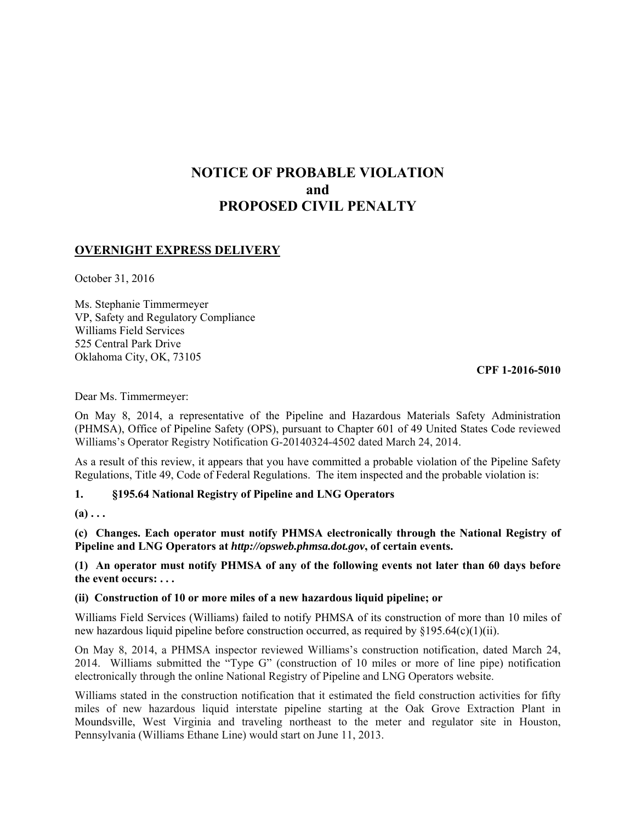# **NOTICE OF PROBABLE VIOLATION and PROPOSED CIVIL PENALTY**

## **OVERNIGHT EXPRESS DELIVERY**

October 31, 2016

Ms. Stephanie Timmermeyer VP, Safety and Regulatory Compliance Williams Field Services 525 Central Park Drive Oklahoma City, OK, 73105

 **CPF 1-2016-5010** 

Dear Ms. Timmermeyer:

On May 8, 2014, a representative of the Pipeline and Hazardous Materials Safety Administration (PHMSA), Office of Pipeline Safety (OPS), pursuant to Chapter 601 of 49 United States Code reviewed Williams's Operator Registry Notification G-20140324-4502 dated March 24, 2014.

As a result of this review, it appears that you have committed a probable violation of the Pipeline Safety Regulations, Title 49, Code of Federal Regulations. The item inspected and the probable violation is:

## **1. §195.64 National Registry of Pipeline and LNG Operators**

 $(a) \ldots$ 

**(c) Changes. Each operator must notify PHMSA electronically through the National Registry of Pipeline and LNG Operators at** *http://opsweb.phmsa.dot.gov***, of certain events.** 

**(1) An operator must notify PHMSA of any of the following events not later than 60 days before the event occurs: . . .** 

## **(ii) Construction of 10 or more miles of a new hazardous liquid pipeline; or**

Williams Field Services (Williams) failed to notify PHMSA of its construction of more than 10 miles of new hazardous liquid pipeline before construction occurred, as required by  $\S 195.64(c)(1)(ii)$ .

On May 8, 2014, a PHMSA inspector reviewed Williams's construction notification, dated March 24, 2014. Williams submitted the "Type G" (construction of 10 miles or more of line pipe) notification electronically through the online National Registry of Pipeline and LNG Operators website.

Williams stated in the construction notification that it estimated the field construction activities for fifty miles of new hazardous liquid interstate pipeline starting at the Oak Grove Extraction Plant in Moundsville, West Virginia and traveling northeast to the meter and regulator site in Houston, Pennsylvania (Williams Ethane Line) would start on June 11, 2013.